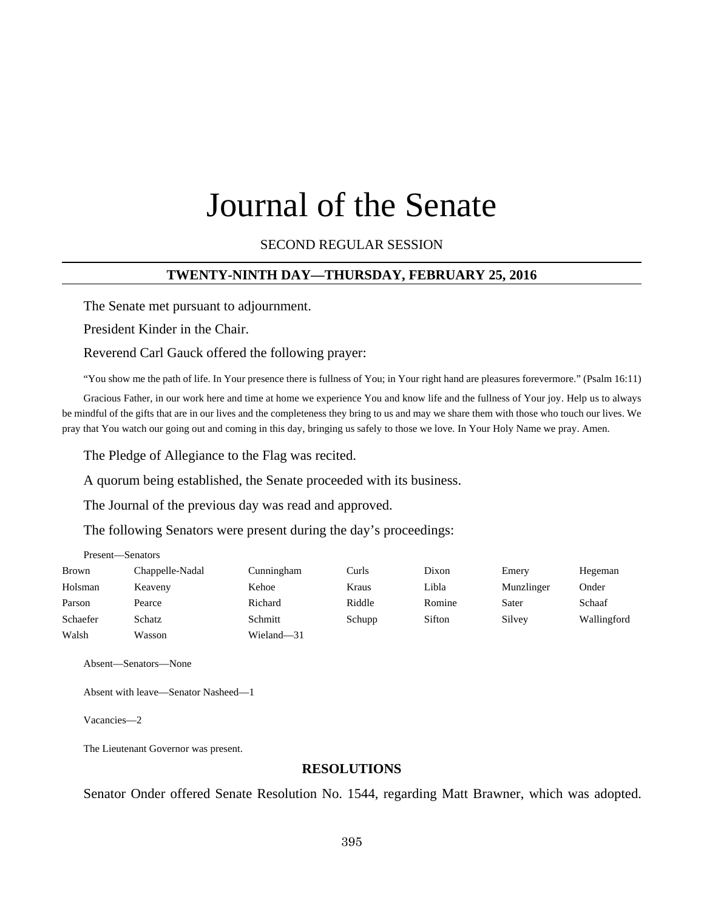# Journal of the Senate

SECOND REGULAR SESSION

## **TWENTY-NINTH DAY—THURSDAY, FEBRUARY 25, 2016**

The Senate met pursuant to adjournment.

President Kinder in the Chair.

Reverend Carl Gauck offered the following prayer:

"You show me the path of life. In Your presence there is fullness of You; in Your right hand are pleasures forevermore." (Psalm 16:11)

Gracious Father, in our work here and time at home we experience You and know life and the fullness of Your joy. Help us to always be mindful of the gifts that are in our lives and the completeness they bring to us and may we share them with those who touch our lives. We pray that You watch our going out and coming in this day, bringing us safely to those we love. In Your Holy Name we pray. Amen.

The Pledge of Allegiance to the Flag was recited.

A quorum being established, the Senate proceeded with its business.

The Journal of the previous day was read and approved.

The following Senators were present during the day's proceedings:

| Present-Senators |                 |            |        |        |            |             |
|------------------|-----------------|------------|--------|--------|------------|-------------|
| Brown            | Chappelle-Nadal | Cunningham | Curls  | Dixon  | Emery      | Hegeman     |
| Holsman          | Keaveny         | Kehoe      | Kraus  | Libla  | Munzlinger | Onder       |
| Parson           | Pearce          | Richard    | Riddle | Romine | Sater      | Schaaf      |
| Schaefer         | Schatz          | Schmitt    | Schupp | Sifton | Silvey     | Wallingford |
| Walsh            | Wasson          | Wieland-31 |        |        |            |             |

Absent—Senators—None

Absent with leave—Senator Nasheed—1

Vacancies—2

The Lieutenant Governor was present.

#### **RESOLUTIONS**

Senator Onder offered Senate Resolution No. 1544, regarding Matt Brawner, which was adopted.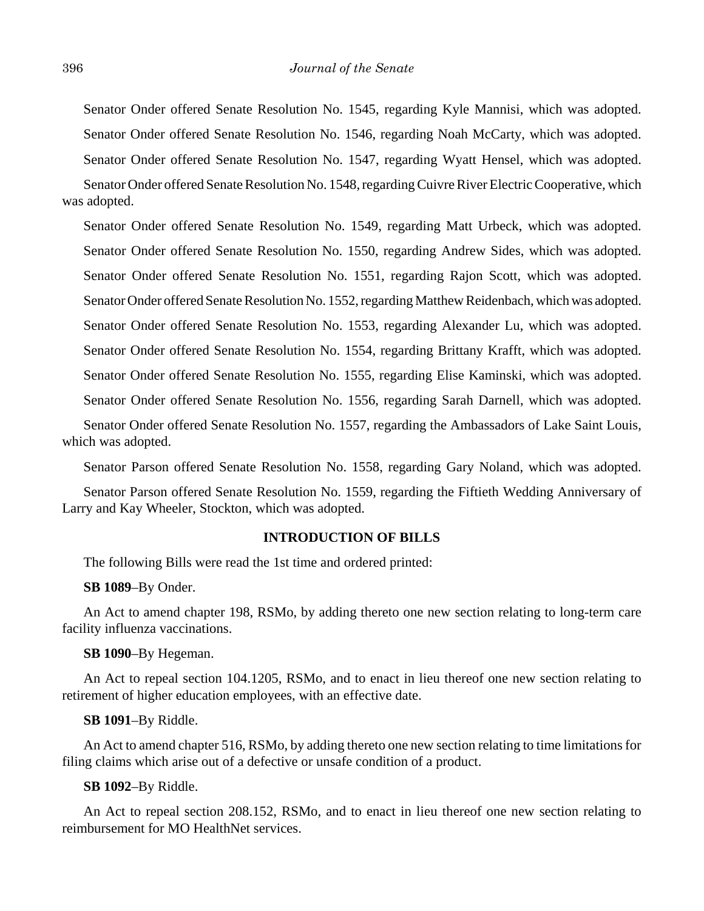Senator Onder offered Senate Resolution No. 1545, regarding Kyle Mannisi, which was adopted. Senator Onder offered Senate Resolution No. 1546, regarding Noah McCarty, which was adopted. Senator Onder offered Senate Resolution No. 1547, regarding Wyatt Hensel, which was adopted.

Senator Onder offered Senate Resolution No. 1548, regarding Cuivre River Electric Cooperative, which was adopted.

Senator Onder offered Senate Resolution No. 1549, regarding Matt Urbeck, which was adopted. Senator Onder offered Senate Resolution No. 1550, regarding Andrew Sides, which was adopted. Senator Onder offered Senate Resolution No. 1551, regarding Rajon Scott, which was adopted. Senator Onder offered Senate Resolution No. 1552, regarding Matthew Reidenbach, which was adopted. Senator Onder offered Senate Resolution No. 1553, regarding Alexander Lu, which was adopted. Senator Onder offered Senate Resolution No. 1554, regarding Brittany Krafft, which was adopted. Senator Onder offered Senate Resolution No. 1555, regarding Elise Kaminski, which was adopted. Senator Onder offered Senate Resolution No. 1556, regarding Sarah Darnell, which was adopted.

Senator Onder offered Senate Resolution No. 1557, regarding the Ambassadors of Lake Saint Louis, which was adopted.

Senator Parson offered Senate Resolution No. 1558, regarding Gary Noland, which was adopted.

Senator Parson offered Senate Resolution No. 1559, regarding the Fiftieth Wedding Anniversary of Larry and Kay Wheeler, Stockton, which was adopted.

#### **INTRODUCTION OF BILLS**

The following Bills were read the 1st time and ordered printed:

## **SB 1089**–By Onder.

An Act to amend chapter 198, RSMo, by adding thereto one new section relating to long-term care facility influenza vaccinations.

#### **SB 1090**–By Hegeman.

An Act to repeal section 104.1205, RSMo, and to enact in lieu thereof one new section relating to retirement of higher education employees, with an effective date.

#### **SB 1091**–By Riddle.

An Act to amend chapter 516, RSMo, by adding thereto one new section relating to time limitations for filing claims which arise out of a defective or unsafe condition of a product.

#### **SB 1092**–By Riddle.

An Act to repeal section 208.152, RSMo, and to enact in lieu thereof one new section relating to reimbursement for MO HealthNet services.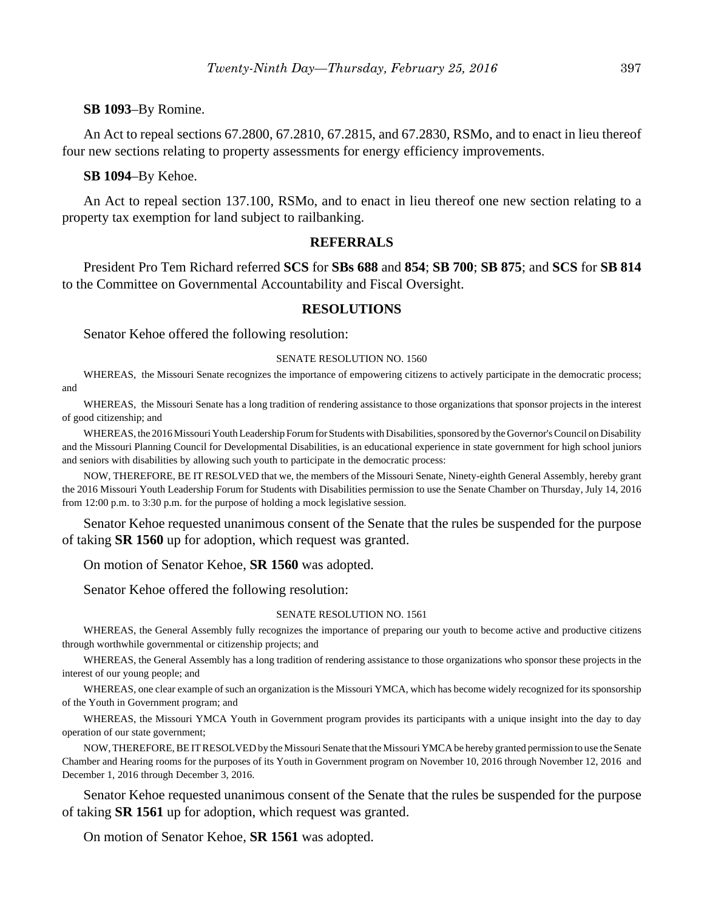## **SB 1093**–By Romine.

An Act to repeal sections 67.2800, 67.2810, 67.2815, and 67.2830, RSMo, and to enact in lieu thereof four new sections relating to property assessments for energy efficiency improvements.

#### **SB 1094**–By Kehoe.

An Act to repeal section 137.100, RSMo, and to enact in lieu thereof one new section relating to a property tax exemption for land subject to railbanking.

#### **REFERRALS**

President Pro Tem Richard referred **SCS** for **SBs 688** and **854**; **SB 700**; **SB 875**; and **SCS** for **SB 814** to the Committee on Governmental Accountability and Fiscal Oversight.

#### **RESOLUTIONS**

Senator Kehoe offered the following resolution:

#### SENATE RESOLUTION NO. 1560

WHEREAS, the Missouri Senate recognizes the importance of empowering citizens to actively participate in the democratic process; and

WHEREAS, the Missouri Senate has a long tradition of rendering assistance to those organizations that sponsor projects in the interest of good citizenship; and

WHEREAS, the 2016 Missouri Youth Leadership Forum for Students with Disabilities, sponsored by the Governor's Council on Disability and the Missouri Planning Council for Developmental Disabilities, is an educational experience in state government for high school juniors and seniors with disabilities by allowing such youth to participate in the democratic process:

NOW, THEREFORE, BE IT RESOLVED that we, the members of the Missouri Senate, Ninety-eighth General Assembly, hereby grant the 2016 Missouri Youth Leadership Forum for Students with Disabilities permission to use the Senate Chamber on Thursday, July 14, 2016 from 12:00 p.m. to 3:30 p.m. for the purpose of holding a mock legislative session.

Senator Kehoe requested unanimous consent of the Senate that the rules be suspended for the purpose of taking **SR 1560** up for adoption, which request was granted.

On motion of Senator Kehoe, **SR 1560** was adopted.

Senator Kehoe offered the following resolution:

#### SENATE RESOLUTION NO. 1561

WHEREAS, the General Assembly fully recognizes the importance of preparing our youth to become active and productive citizens through worthwhile governmental or citizenship projects; and

WHEREAS, the General Assembly has a long tradition of rendering assistance to those organizations who sponsor these projects in the interest of our young people; and

WHEREAS, one clear example of such an organization is the Missouri YMCA, which has become widely recognized for its sponsorship of the Youth in Government program; and

WHEREAS, the Missouri YMCA Youth in Government program provides its participants with a unique insight into the day to day operation of our state government;

NOW, THEREFORE, BE IT RESOLVED by the Missouri Senate that the Missouri YMCA be hereby granted permission to use the Senate Chamber and Hearing rooms for the purposes of its Youth in Government program on November 10, 2016 through November 12, 2016 and December 1, 2016 through December 3, 2016.

Senator Kehoe requested unanimous consent of the Senate that the rules be suspended for the purpose of taking **SR 1561** up for adoption, which request was granted.

On motion of Senator Kehoe, **SR 1561** was adopted.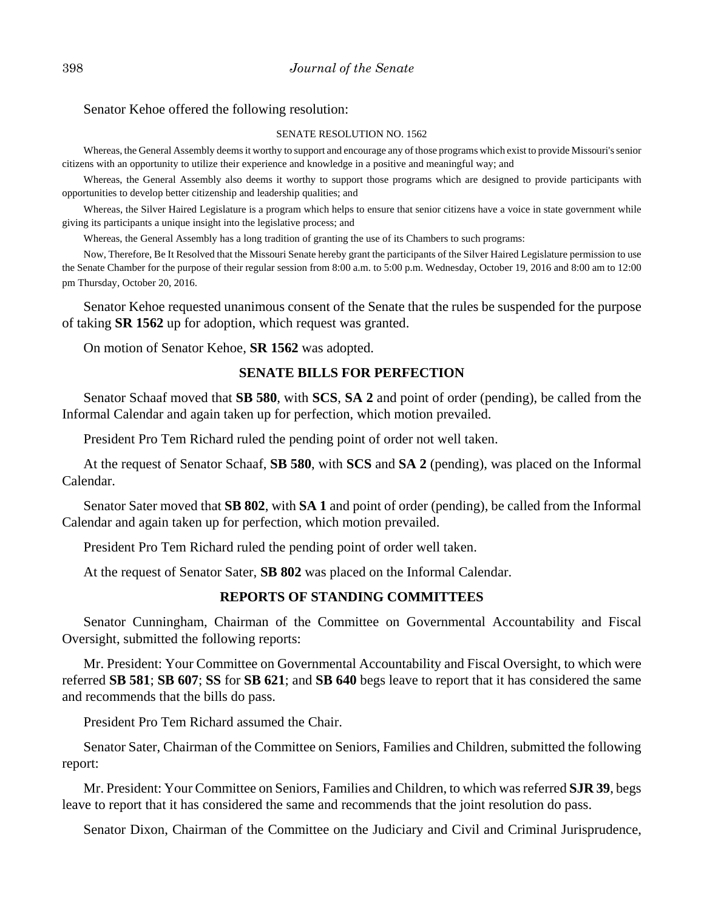#### Senator Kehoe offered the following resolution:

#### SENATE RESOLUTION NO. 1562

Whereas, the General Assembly deems it worthy to support and encourage any of those programs which exist to provide Missouri's senior citizens with an opportunity to utilize their experience and knowledge in a positive and meaningful way; and

Whereas, the General Assembly also deems it worthy to support those programs which are designed to provide participants with opportunities to develop better citizenship and leadership qualities; and

Whereas, the Silver Haired Legislature is a program which helps to ensure that senior citizens have a voice in state government while giving its participants a unique insight into the legislative process; and

Whereas, the General Assembly has a long tradition of granting the use of its Chambers to such programs:

Now, Therefore, Be It Resolved that the Missouri Senate hereby grant the participants of the Silver Haired Legislature permission to use the Senate Chamber for the purpose of their regular session from 8:00 a.m. to 5:00 p.m. Wednesday, October 19, 2016 and 8:00 am to 12:00 pm Thursday, October 20, 2016.

Senator Kehoe requested unanimous consent of the Senate that the rules be suspended for the purpose of taking **SR 1562** up for adoption, which request was granted.

On motion of Senator Kehoe, **SR 1562** was adopted.

## **SENATE BILLS FOR PERFECTION**

Senator Schaaf moved that **SB 580**, with **SCS**, **SA 2** and point of order (pending), be called from the Informal Calendar and again taken up for perfection, which motion prevailed.

President Pro Tem Richard ruled the pending point of order not well taken.

At the request of Senator Schaaf, **SB 580**, with **SCS** and **SA 2** (pending), was placed on the Informal Calendar.

Senator Sater moved that **SB 802**, with **SA 1** and point of order (pending), be called from the Informal Calendar and again taken up for perfection, which motion prevailed.

President Pro Tem Richard ruled the pending point of order well taken.

At the request of Senator Sater, **SB 802** was placed on the Informal Calendar.

## **REPORTS OF STANDING COMMITTEES**

Senator Cunningham, Chairman of the Committee on Governmental Accountability and Fiscal Oversight, submitted the following reports:

Mr. President: Your Committee on Governmental Accountability and Fiscal Oversight, to which were referred **SB 581**; **SB 607**; **SS** for **SB 621**; and **SB 640** begs leave to report that it has considered the same and recommends that the bills do pass.

President Pro Tem Richard assumed the Chair.

Senator Sater, Chairman of the Committee on Seniors, Families and Children, submitted the following report:

Mr. President: Your Committee on Seniors, Families and Children, to which was referred **SJR 39**, begs leave to report that it has considered the same and recommends that the joint resolution do pass.

Senator Dixon, Chairman of the Committee on the Judiciary and Civil and Criminal Jurisprudence,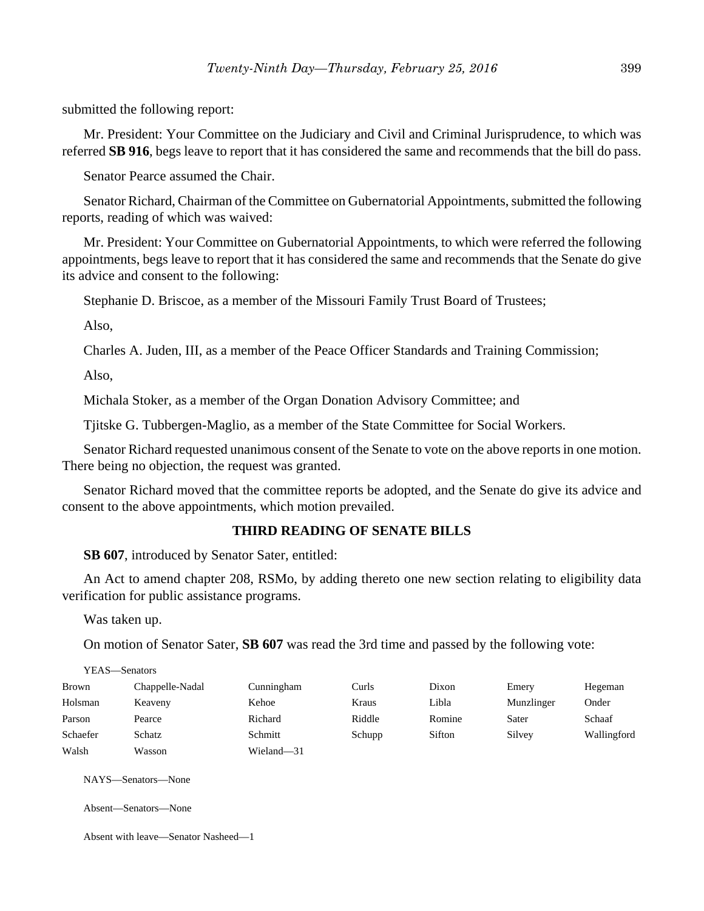submitted the following report:

Mr. President: Your Committee on the Judiciary and Civil and Criminal Jurisprudence, to which was referred **SB 916**, begs leave to report that it has considered the same and recommends that the bill do pass.

Senator Pearce assumed the Chair.

Senator Richard, Chairman of the Committee on Gubernatorial Appointments, submitted the following reports, reading of which was waived:

Mr. President: Your Committee on Gubernatorial Appointments, to which were referred the following appointments, begs leave to report that it has considered the same and recommends that the Senate do give its advice and consent to the following:

Stephanie D. Briscoe, as a member of the Missouri Family Trust Board of Trustees;

Also,

Charles A. Juden, III, as a member of the Peace Officer Standards and Training Commission;

Also,

Michala Stoker, as a member of the Organ Donation Advisory Committee; and

Tjitske G. Tubbergen-Maglio, as a member of the State Committee for Social Workers.

Senator Richard requested unanimous consent of the Senate to vote on the above reports in one motion. There being no objection, the request was granted.

Senator Richard moved that the committee reports be adopted, and the Senate do give its advice and consent to the above appointments, which motion prevailed.

## **THIRD READING OF SENATE BILLS**

**SB 607**, introduced by Senator Sater, entitled:

An Act to amend chapter 208, RSMo, by adding thereto one new section relating to eligibility data verification for public assistance programs.

Was taken up.

On motion of Senator Sater, **SB 607** was read the 3rd time and passed by the following vote:

|              | YEAS—Senators   |            |        |        |            |             |
|--------------|-----------------|------------|--------|--------|------------|-------------|
| <b>Brown</b> | Chappelle-Nadal | Cunningham | Curls  | Dixon  | Emery      | Hegeman     |
| Holsman      | Keaveny         | Kehoe      | Kraus  | Libla  | Munzlinger | Onder       |
| Parson       | Pearce          | Richard    | Riddle | Romine | Sater      | Schaaf      |
| Schaefer     | Schatz          | Schmitt    | Schupp | Sifton | Silvey     | Wallingford |
| Walsh        | Wasson          | Wieland-31 |        |        |            |             |

NAYS—Senators—None

Absent—Senators—None

Absent with leave—Senator Nasheed—1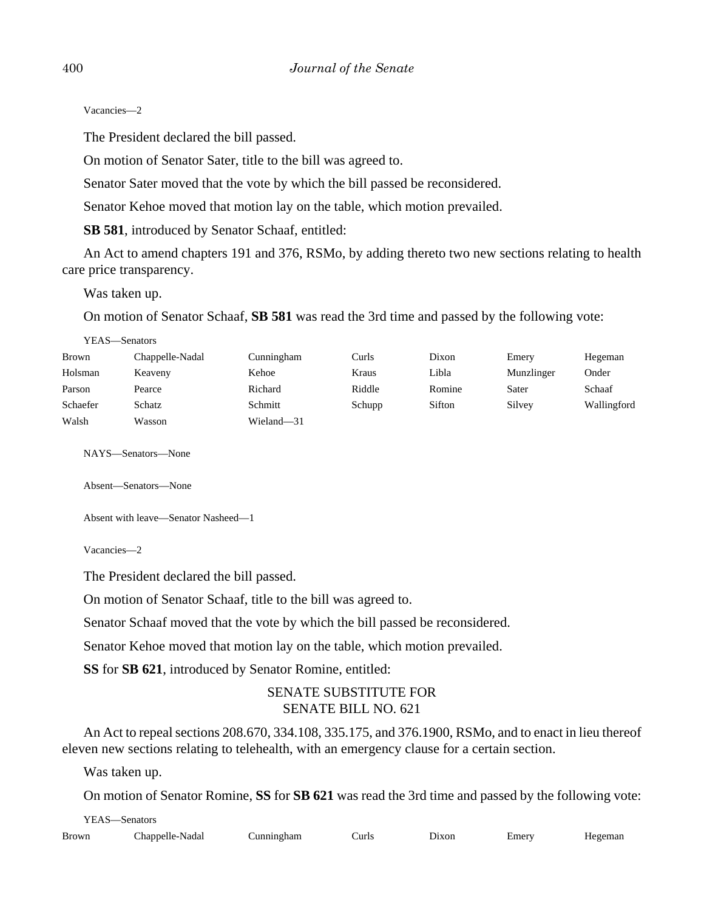Vacancies—2

The President declared the bill passed.

On motion of Senator Sater, title to the bill was agreed to.

Senator Sater moved that the vote by which the bill passed be reconsidered.

Senator Kehoe moved that motion lay on the table, which motion prevailed.

**SB 581**, introduced by Senator Schaaf, entitled:

An Act to amend chapters 191 and 376, RSMo, by adding thereto two new sections relating to health care price transparency.

Was taken up.

On motion of Senator Schaaf, **SB 581** was read the 3rd time and passed by the following vote:

| Brown    | Chappelle-Nadal | Cunningham | Curls  | Dixon  | Emery      | Hegeman     |
|----------|-----------------|------------|--------|--------|------------|-------------|
| Holsman  | Keaveny         | Kehoe      | Kraus  | Libla  | Munzlinger | Onder       |
| Parson   | Pearce          | Richard    | Riddle | Romine | Sater      | Schaaf      |
| Schaefer | Schatz          | Schmitt    | Schupp | Sifton | Silvey     | Wallingford |
| Walsh    | Wasson          | Wieland-31 |        |        |            |             |

NAYS—Senators—None

Absent—Senators—None

Absent with leave—Senator Nasheed—1

Vacancies—2

The President declared the bill passed.

On motion of Senator Schaaf, title to the bill was agreed to.

Senator Schaaf moved that the vote by which the bill passed be reconsidered.

Senator Kehoe moved that motion lay on the table, which motion prevailed.

**SS** for **SB 621**, introduced by Senator Romine, entitled:

# SENATE SUBSTITUTE FOR SENATE BILL NO. 621

An Act to repeal sections 208.670, 334.108, 335.175, and 376.1900, RSMo, and to enact in lieu thereof eleven new sections relating to telehealth, with an emergency clause for a certain section.

Was taken up.

YEAS—Senators

On motion of Senator Romine, **SS** for **SB 621** was read the 3rd time and passed by the following vote:

| YEAS—Senators |                 |            |       |       |       |         |
|---------------|-----------------|------------|-------|-------|-------|---------|
| Brown         | Chappelle-Nadal | Cunningham | Curls | Dixon | Emery | Hegeman |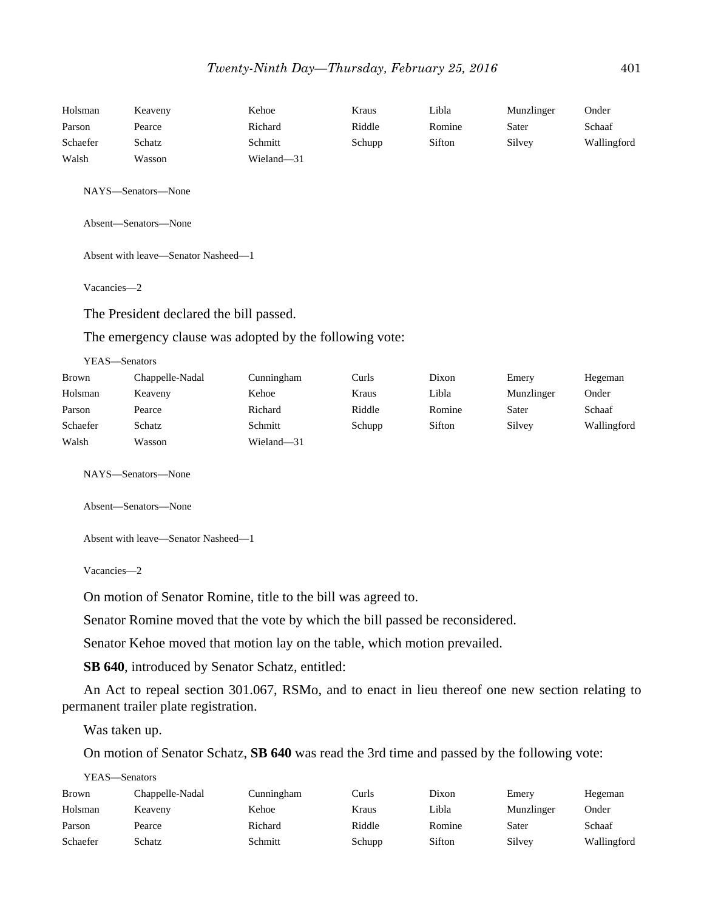| Holsman            | Keaveny                                                 | Kehoe      | Kraus  | Libla  | Munzlinger | Onder       |  |  |
|--------------------|---------------------------------------------------------|------------|--------|--------|------------|-------------|--|--|
| Parson             | Pearce                                                  | Richard    | Riddle | Romine | Sater      | Schaaf      |  |  |
| Schaefer           | Schatz                                                  | Schmitt    | Schupp | Sifton | Silvey     | Wallingford |  |  |
| Walsh              | Wasson                                                  | Wieland-31 |        |        |            |             |  |  |
| NAYS—Senators—None |                                                         |            |        |        |            |             |  |  |
|                    | Absent-Senators-None                                    |            |        |        |            |             |  |  |
|                    | Absent with leave-Senator Nasheed-1                     |            |        |        |            |             |  |  |
| Vacancies-2        |                                                         |            |        |        |            |             |  |  |
|                    | The President declared the bill passed.                 |            |        |        |            |             |  |  |
|                    | The emergency clause was adopted by the following vote: |            |        |        |            |             |  |  |
| YEAS-Senators      |                                                         |            |        |        |            |             |  |  |
| <b>Brown</b>       | Chappelle-Nadal                                         | Cunningham | Curls  | Dixon  | Emery      | Hegeman     |  |  |
| Holsman            | Keaveny                                                 | Kehoe      | Kraus  | Libla  | Munzlinger | Onder       |  |  |
| Parson             | Pearce                                                  | Richard    | Riddle | Romine | Sater      | Schaaf      |  |  |
| Schaefer           | Schatz                                                  | Schmitt    | Schupp | Sifton | Silvey     | Wallingford |  |  |
| Walsh              | Wasson                                                  | Wieland-31 |        |        |            |             |  |  |

NAYS—Senators—None

Absent—Senators—None

Absent with leave—Senator Nasheed—1

Vacancies—2

On motion of Senator Romine, title to the bill was agreed to.

Senator Romine moved that the vote by which the bill passed be reconsidered.

Senator Kehoe moved that motion lay on the table, which motion prevailed.

**SB 640**, introduced by Senator Schatz, entitled:

An Act to repeal section 301.067, RSMo, and to enact in lieu thereof one new section relating to permanent trailer plate registration.

Was taken up.

On motion of Senator Schatz, **SB 640** was read the 3rd time and passed by the following vote:

YEAS—Senators

| Brown    | Chappelle-Nadal | Cunningham | Curls  | Dixon  | Emery      | Hegeman     |
|----------|-----------------|------------|--------|--------|------------|-------------|
| Holsman  | Keaveny         | Kehoe      | Kraus  | Libla  | Munzlinger | Onder       |
| Parson   | Pearce          | Richard    | Riddle | Romine | Sater      | Schaaf      |
| Schaefer | Schatz          | Schmitt    | Schupp | Sifton | Silvey     | Wallingford |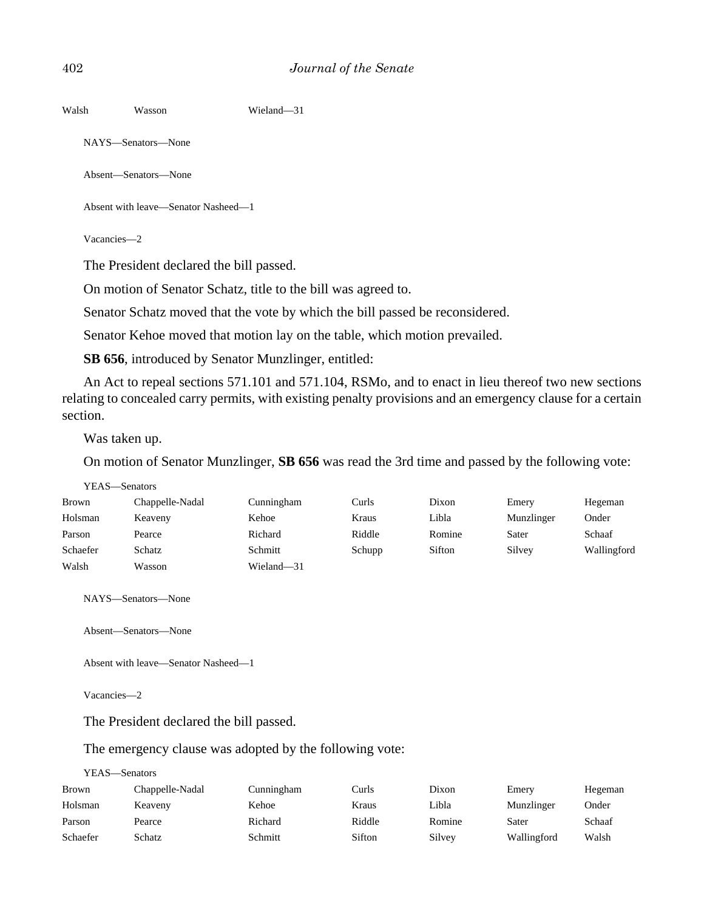| Walsh | Wasson | Wieland-31 |
|-------|--------|------------|
|       |        |            |

NAYS—Senators—None

Absent—Senators—None

Absent with leave—Senator Nasheed—1

Vacancies—2

The President declared the bill passed.

On motion of Senator Schatz, title to the bill was agreed to.

Senator Schatz moved that the vote by which the bill passed be reconsidered.

Senator Kehoe moved that motion lay on the table, which motion prevailed.

**SB 656**, introduced by Senator Munzlinger, entitled:

An Act to repeal sections 571.101 and 571.104, RSMo, and to enact in lieu thereof two new sections relating to concealed carry permits, with existing penalty provisions and an emergency clause for a certain section.

Was taken up.

On motion of Senator Munzlinger, **SB 656** was read the 3rd time and passed by the following vote:

|          | YEAS—Senators   |            |        |        |            |             |
|----------|-----------------|------------|--------|--------|------------|-------------|
| Brown    | Chappelle-Nadal | Cunningham | Curls  | Dixon  | Emery      | Hegeman     |
| Holsman  | Keaveny         | Kehoe      | Kraus  | Libla  | Munzlinger | Onder       |
| Parson   | Pearce          | Richard    | Riddle | Romine | Sater      | Schaaf      |
| Schaefer | Schatz          | Schmitt    | Schupp | Sifton | Silvey     | Wallingford |
| Walsh    | Wasson          | Wieland-31 |        |        |            |             |

NAYS—Senators—None

Absent—Senators—None

Absent with leave—Senator Nasheed—1

Vacancies—2

The President declared the bill passed.

#### The emergency clause was adopted by the following vote:

#### YEAS—Senators

| Brown    | Chappelle-Nadal | Cunningham | Curls  | Dixon  | Emery       | Hegeman |
|----------|-----------------|------------|--------|--------|-------------|---------|
| Holsman  | Keaveny         | Kehoe      | Kraus  | Libla  | Munzlinger  | Onder   |
| Parson   | Pearce          | Richard    | Riddle | Romine | Sater       | Schaaf  |
| Schaefer | Schatz          | Schmitt    | Sifton | Silvey | Wallingford | Walsh   |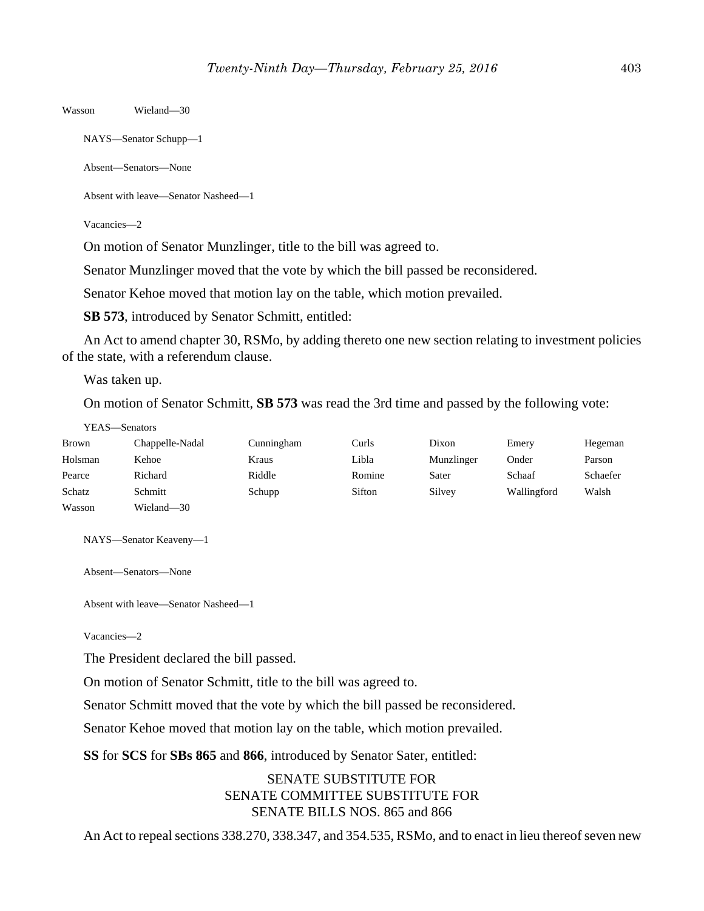Wasson Wieland—30

NAYS—Senator Schupp—1

Absent—Senators—None

Absent with leave—Senator Nasheed—1

Vacancies—2

On motion of Senator Munzlinger, title to the bill was agreed to.

Senator Munzlinger moved that the vote by which the bill passed be reconsidered.

Senator Kehoe moved that motion lay on the table, which motion prevailed.

**SB 573**, introduced by Senator Schmitt, entitled:

An Act to amend chapter 30, RSMo, by adding thereto one new section relating to investment policies of the state, with a referendum clause.

Was taken up.

On motion of Senator Schmitt, **SB 573** was read the 3rd time and passed by the following vote:

| Brown   | Chappelle-Nadal | Cunningham | Curls  | Dixon      | Emery       | Hegeman  |
|---------|-----------------|------------|--------|------------|-------------|----------|
| Holsman | Kehoe           | Kraus      | Libla  | Munzlinger | Onder       | Parson   |
| Pearce  | Richard         | Riddle     | Romine | Sater      | Schaaf      | Schaefer |
| Schatz  | Schmitt         | Schupp     | Sifton | Silvey     | Wallingford | Walsh    |
| Wasson  | Wieland-30      |            |        |            |             |          |

NAYS—Senator Keaveny—1

Absent—Senators—None

Absent with leave—Senator Nasheed—1

Vacancies—2

The President declared the bill passed.

On motion of Senator Schmitt, title to the bill was agreed to.

Senator Schmitt moved that the vote by which the bill passed be reconsidered.

Senator Kehoe moved that motion lay on the table, which motion prevailed.

**SS** for **SCS** for **SBs 865** and **866**, introduced by Senator Sater, entitled:

SENATE SUBSTITUTE FOR SENATE COMMITTEE SUBSTITUTE FOR SENATE BILLS NOS. 865 and 866

An Act to repeal sections 338.270, 338.347, and 354.535, RSMo, and to enact in lieu thereof seven new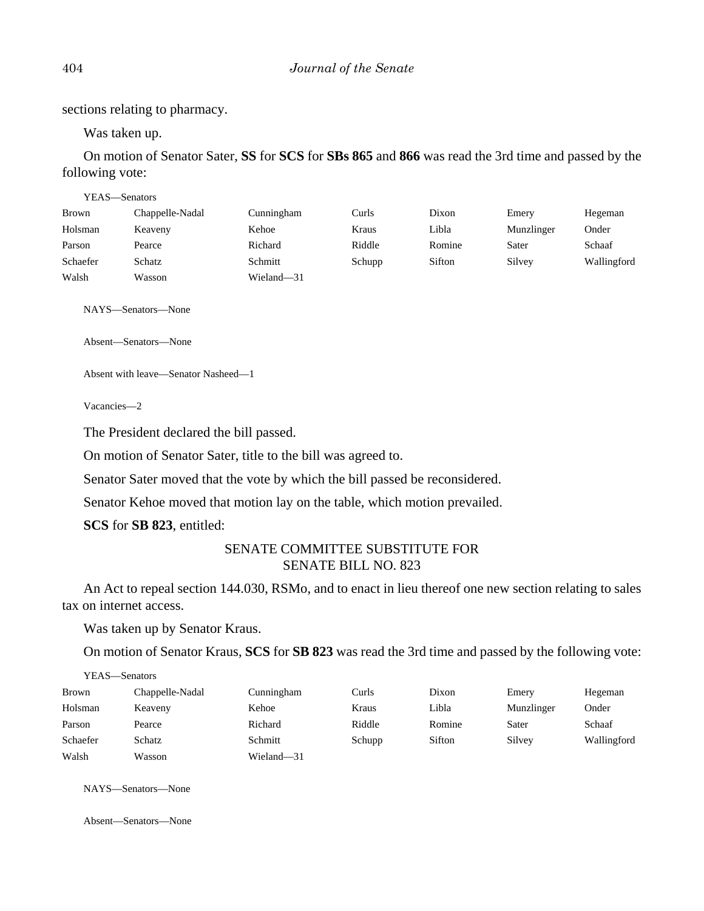sections relating to pharmacy.

Was taken up.

On motion of Senator Sater, **SS** for **SCS** for **SBs 865** and **866** was read the 3rd time and passed by the following vote:

| YEAS—Senators |                 |            |        |        |            |             |
|---------------|-----------------|------------|--------|--------|------------|-------------|
| Brown         | Chappelle-Nadal | Cunningham | Curls  | Dixon  | Emery      | Hegeman     |
| Holsman       | Keaveny         | Kehoe      | Kraus  | Libla  | Munzlinger | Onder       |
| Parson        | Pearce          | Richard    | Riddle | Romine | Sater      | Schaaf      |
| Schaefer      | Schatz          | Schmitt    | Schupp | Sifton | Silvey     | Wallingford |
| Walsh         | Wasson          | Wieland-31 |        |        |            |             |

NAYS—Senators—None

Absent—Senators—None

Absent with leave—Senator Nasheed—1

Vacancies—2

The President declared the bill passed.

On motion of Senator Sater, title to the bill was agreed to.

Senator Sater moved that the vote by which the bill passed be reconsidered.

Senator Kehoe moved that motion lay on the table, which motion prevailed.

**SCS** for **SB 823**, entitled:

# SENATE COMMITTEE SUBSTITUTE FOR SENATE BILL NO. 823

An Act to repeal section 144.030, RSMo, and to enact in lieu thereof one new section relating to sales tax on internet access.

Was taken up by Senator Kraus.

On motion of Senator Kraus, **SCS** for **SB 823** was read the 3rd time and passed by the following vote:

| YEAS—Senators |                 |            |        |        |            |             |  |
|---------------|-----------------|------------|--------|--------|------------|-------------|--|
| <b>Brown</b>  | Chappelle-Nadal | Cunningham | Curls  | Dixon  | Emery      | Hegeman     |  |
| Holsman       | Keaveny         | Kehoe      | Kraus  | Libla  | Munzlinger | Onder       |  |
| Parson        | Pearce          | Richard    | Riddle | Romine | Sater      | Schaaf      |  |
| Schaefer      | Schatz          | Schmitt    | Schupp | Sifton | Silvey     | Wallingford |  |
| Walsh         | Wasson          | Wieland-31 |        |        |            |             |  |

NAYS—Senators—None

Absent—Senators—None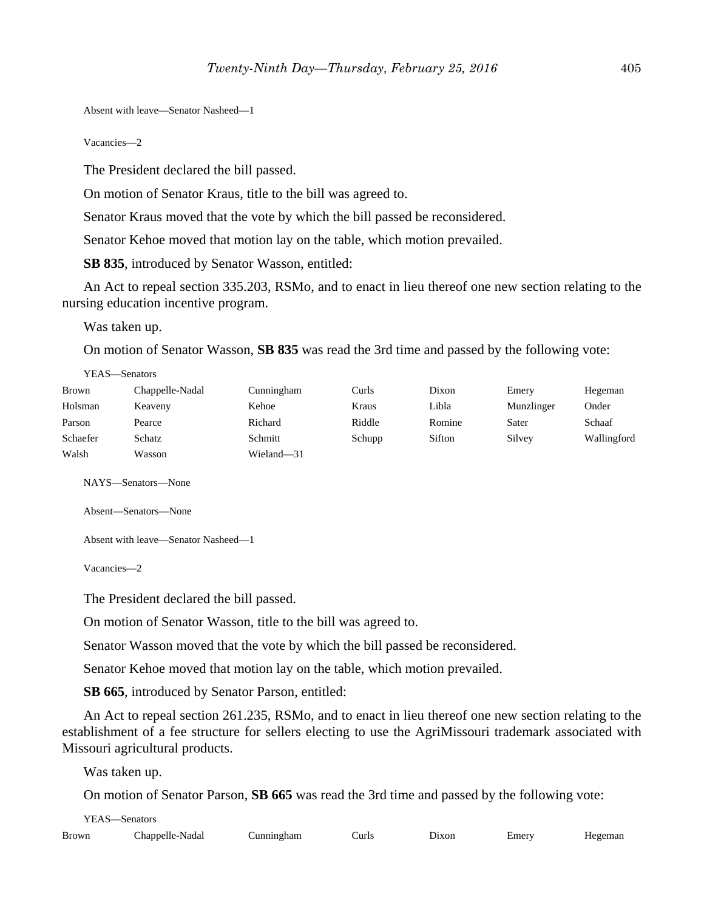Absent with leave—Senator Nasheed—1

Vacancies—2

The President declared the bill passed.

On motion of Senator Kraus, title to the bill was agreed to.

Senator Kraus moved that the vote by which the bill passed be reconsidered.

Senator Kehoe moved that motion lay on the table, which motion prevailed.

**SB 835**, introduced by Senator Wasson, entitled:

An Act to repeal section 335.203, RSMo, and to enact in lieu thereof one new section relating to the nursing education incentive program.

Was taken up.

On motion of Senator Wasson, **SB 835** was read the 3rd time and passed by the following vote:

| YEAS—Senators |                 |            |        |        |            |             |  |
|---------------|-----------------|------------|--------|--------|------------|-------------|--|
| Brown         | Chappelle-Nadal | Cunningham | Curls  | Dixon  | Emery      | Hegeman     |  |
| Holsman       | Keaveny         | Kehoe      | Kraus  | Libla  | Munzlinger | Onder       |  |
| Parson        | Pearce          | Richard    | Riddle | Romine | Sater      | Schaaf      |  |
| Schaefer      | Schatz          | Schmitt    | Schupp | Sifton | Silvey     | Wallingford |  |
| Walsh         | Wasson          | Wieland-31 |        |        |            |             |  |

NAYS—Senators—None

Absent—Senators—None

Absent with leave—Senator Nasheed—1

Vacancies—2

The President declared the bill passed.

On motion of Senator Wasson, title to the bill was agreed to.

Senator Wasson moved that the vote by which the bill passed be reconsidered.

Senator Kehoe moved that motion lay on the table, which motion prevailed.

**SB 665**, introduced by Senator Parson, entitled:

An Act to repeal section 261.235, RSMo, and to enact in lieu thereof one new section relating to the establishment of a fee structure for sellers electing to use the AgriMissouri trademark associated with Missouri agricultural products.

Was taken up.

On motion of Senator Parson, **SB 665** was read the 3rd time and passed by the following vote:

| YEAS-Senators |                 |            |       |       |       |         |
|---------------|-----------------|------------|-------|-------|-------|---------|
| <b>Brown</b>  | Chappelle-Nadal | Cunningham | Curls | Dixon | Emery | Hegeman |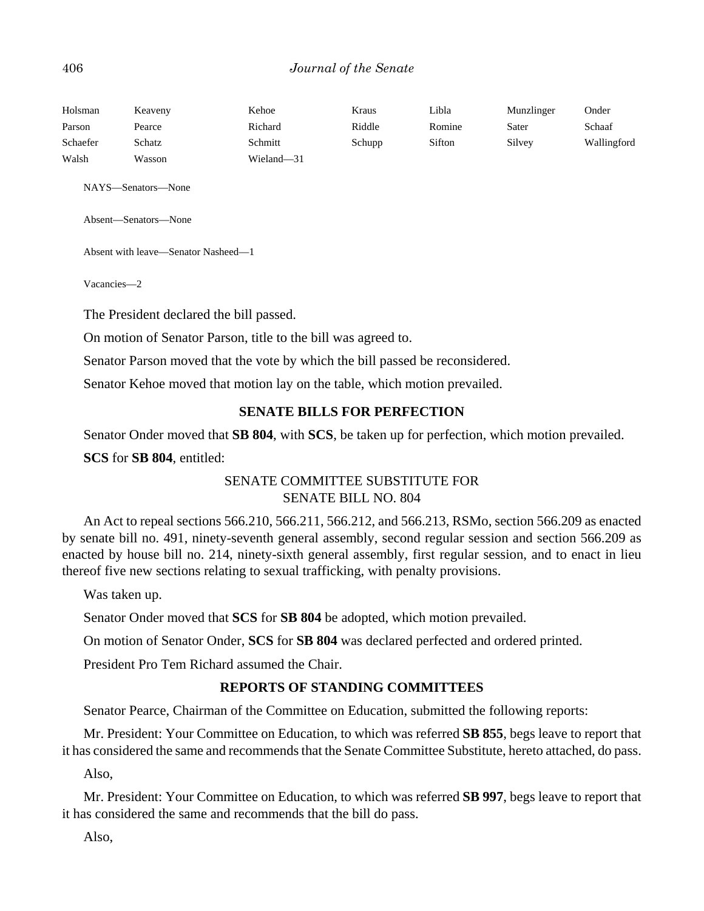## 406 *Journal of the Senate*

| Holsman  | Keaveny | Kehoe      | Kraus  | Libla  | Munzlinger | Onder       |
|----------|---------|------------|--------|--------|------------|-------------|
| Parson   | Pearce  | Richard    | Riddle | Romine | Sater      | Schaaf      |
| Schaefer | Schatz  | Schmitt    | Schupp | Sifton | Silvey     | Wallingford |
| Walsh    | Wasson  | Wieland-31 |        |        |            |             |

NAYS—Senators—None

Absent—Senators—None

Absent with leave—Senator Nasheed—1

Vacancies—2

The President declared the bill passed.

On motion of Senator Parson, title to the bill was agreed to.

Senator Parson moved that the vote by which the bill passed be reconsidered.

Senator Kehoe moved that motion lay on the table, which motion prevailed.

## **SENATE BILLS FOR PERFECTION**

Senator Onder moved that **SB 804**, with **SCS**, be taken up for perfection, which motion prevailed.

**SCS** for **SB 804**, entitled:

# SENATE COMMITTEE SUBSTITUTE FOR SENATE BILL NO. 804

An Act to repeal sections 566.210, 566.211, 566.212, and 566.213, RSMo, section 566.209 as enacted by senate bill no. 491, ninety-seventh general assembly, second regular session and section 566.209 as enacted by house bill no. 214, ninety-sixth general assembly, first regular session, and to enact in lieu thereof five new sections relating to sexual trafficking, with penalty provisions.

Was taken up.

Senator Onder moved that **SCS** for **SB 804** be adopted, which motion prevailed.

On motion of Senator Onder, **SCS** for **SB 804** was declared perfected and ordered printed.

President Pro Tem Richard assumed the Chair.

#### **REPORTS OF STANDING COMMITTEES**

Senator Pearce, Chairman of the Committee on Education, submitted the following reports:

Mr. President: Your Committee on Education, to which was referred **SB 855**, begs leave to report that it has considered the same and recommends that the Senate Committee Substitute, hereto attached, do pass.

Also,

Mr. President: Your Committee on Education, to which was referred **SB 997**, begs leave to report that it has considered the same and recommends that the bill do pass.

Also,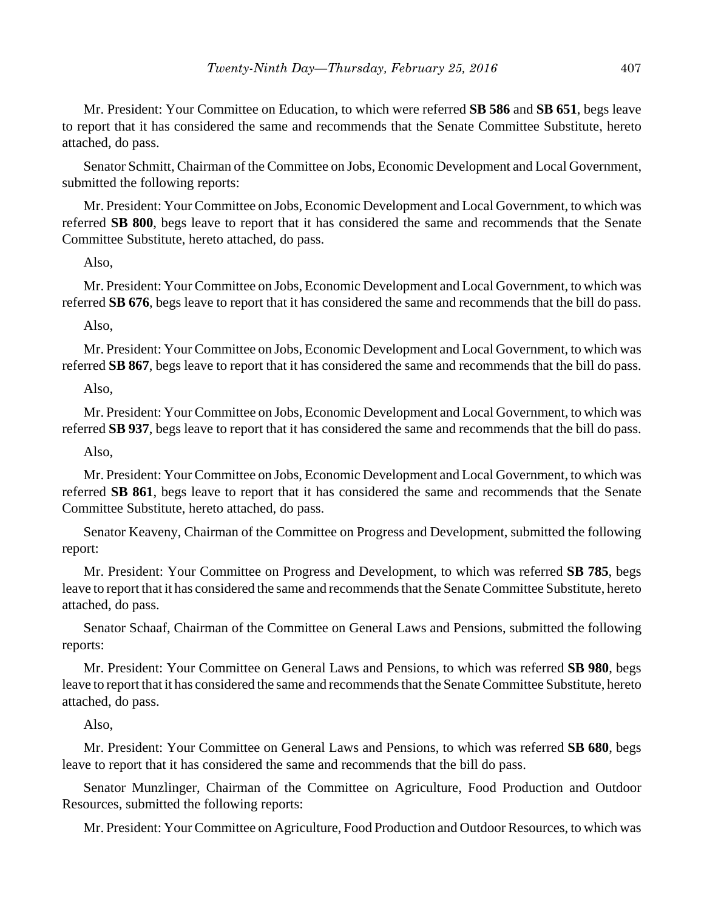Mr. President: Your Committee on Education, to which were referred **SB 586** and **SB 651**, begs leave to report that it has considered the same and recommends that the Senate Committee Substitute, hereto attached, do pass.

Senator Schmitt, Chairman of the Committee on Jobs, Economic Development and Local Government, submitted the following reports:

Mr. President: Your Committee on Jobs, Economic Development and Local Government, to which was referred **SB 800**, begs leave to report that it has considered the same and recommends that the Senate Committee Substitute, hereto attached, do pass.

#### Also,

Mr. President: Your Committee on Jobs, Economic Development and Local Government, to which was referred **SB 676**, begs leave to report that it has considered the same and recommends that the bill do pass.

Also,

Mr. President: Your Committee on Jobs, Economic Development and Local Government, to which was referred **SB 867**, begs leave to report that it has considered the same and recommends that the bill do pass.

#### Also,

Mr. President: Your Committee on Jobs, Economic Development and Local Government, to which was referred **SB 937**, begs leave to report that it has considered the same and recommends that the bill do pass.

Also,

Mr. President: Your Committee on Jobs, Economic Development and Local Government, to which was referred **SB 861**, begs leave to report that it has considered the same and recommends that the Senate Committee Substitute, hereto attached, do pass.

Senator Keaveny, Chairman of the Committee on Progress and Development, submitted the following report:

Mr. President: Your Committee on Progress and Development, to which was referred **SB 785**, begs leave to report that it has considered the same and recommends that the Senate Committee Substitute, hereto attached, do pass.

Senator Schaaf, Chairman of the Committee on General Laws and Pensions, submitted the following reports:

Mr. President: Your Committee on General Laws and Pensions, to which was referred **SB 980**, begs leave to report that it has considered the same and recommends that the Senate Committee Substitute, hereto attached, do pass.

## Also,

Mr. President: Your Committee on General Laws and Pensions, to which was referred **SB 680**, begs leave to report that it has considered the same and recommends that the bill do pass.

Senator Munzlinger, Chairman of the Committee on Agriculture, Food Production and Outdoor Resources, submitted the following reports:

Mr. President: Your Committee on Agriculture, Food Production and Outdoor Resources, to which was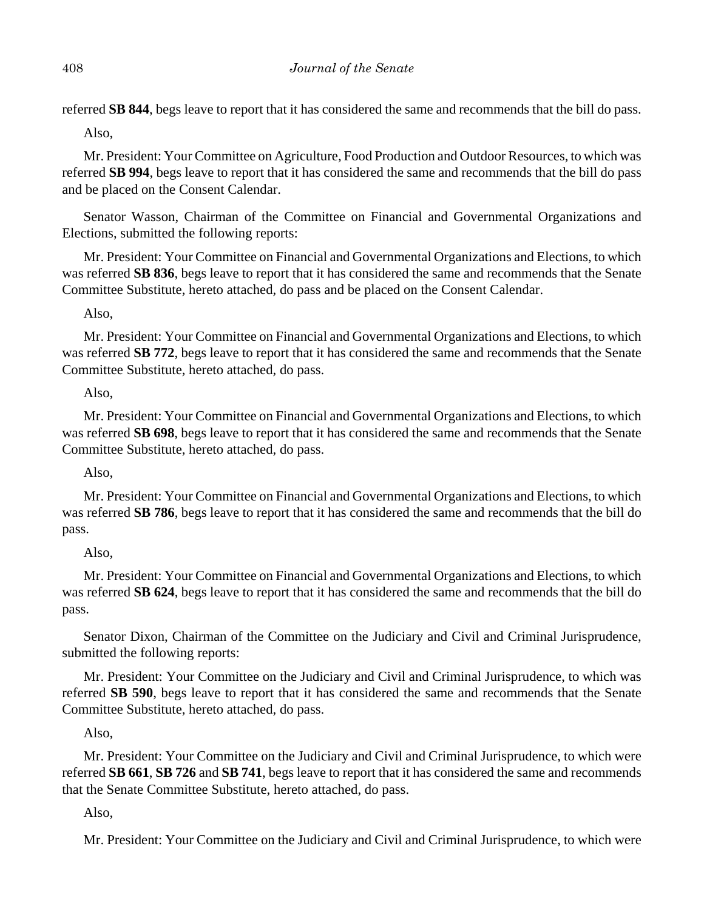referred **SB 844**, begs leave to report that it has considered the same and recommends that the bill do pass.

Also,

Mr. President: Your Committee on Agriculture, Food Production and Outdoor Resources, to which was referred **SB 994**, begs leave to report that it has considered the same and recommends that the bill do pass and be placed on the Consent Calendar.

Senator Wasson, Chairman of the Committee on Financial and Governmental Organizations and Elections, submitted the following reports:

Mr. President: Your Committee on Financial and Governmental Organizations and Elections, to which was referred **SB 836**, begs leave to report that it has considered the same and recommends that the Senate Committee Substitute, hereto attached, do pass and be placed on the Consent Calendar.

Also,

Mr. President: Your Committee on Financial and Governmental Organizations and Elections, to which was referred **SB 772**, begs leave to report that it has considered the same and recommends that the Senate Committee Substitute, hereto attached, do pass.

Also,

Mr. President: Your Committee on Financial and Governmental Organizations and Elections, to which was referred **SB 698**, begs leave to report that it has considered the same and recommends that the Senate Committee Substitute, hereto attached, do pass.

Also,

Mr. President: Your Committee on Financial and Governmental Organizations and Elections, to which was referred **SB 786**, begs leave to report that it has considered the same and recommends that the bill do pass.

Also,

Mr. President: Your Committee on Financial and Governmental Organizations and Elections, to which was referred **SB 624**, begs leave to report that it has considered the same and recommends that the bill do pass.

Senator Dixon, Chairman of the Committee on the Judiciary and Civil and Criminal Jurisprudence, submitted the following reports:

Mr. President: Your Committee on the Judiciary and Civil and Criminal Jurisprudence, to which was referred **SB 590**, begs leave to report that it has considered the same and recommends that the Senate Committee Substitute, hereto attached, do pass.

Also,

Mr. President: Your Committee on the Judiciary and Civil and Criminal Jurisprudence, to which were referred **SB 661**, **SB 726** and **SB 741**, begs leave to report that it has considered the same and recommends that the Senate Committee Substitute, hereto attached, do pass.

Also,

Mr. President: Your Committee on the Judiciary and Civil and Criminal Jurisprudence, to which were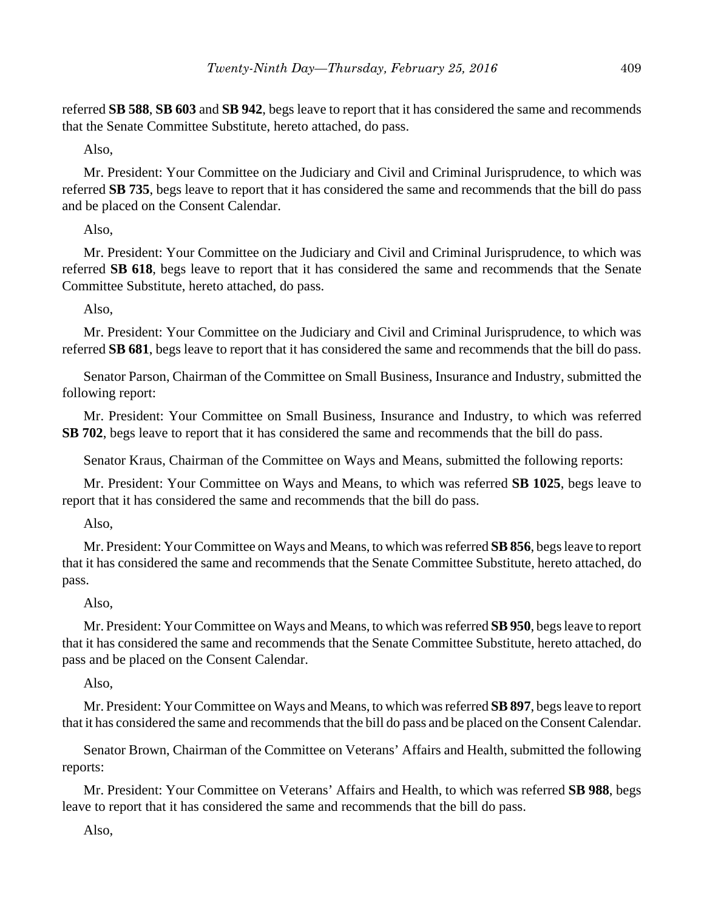referred **SB 588**, **SB 603** and **SB 942**, begs leave to report that it has considered the same and recommends that the Senate Committee Substitute, hereto attached, do pass.

Also,

Mr. President: Your Committee on the Judiciary and Civil and Criminal Jurisprudence, to which was referred **SB 735**, begs leave to report that it has considered the same and recommends that the bill do pass and be placed on the Consent Calendar.

Also,

Mr. President: Your Committee on the Judiciary and Civil and Criminal Jurisprudence, to which was referred **SB 618**, begs leave to report that it has considered the same and recommends that the Senate Committee Substitute, hereto attached, do pass.

Also,

Mr. President: Your Committee on the Judiciary and Civil and Criminal Jurisprudence, to which was referred **SB 681**, begs leave to report that it has considered the same and recommends that the bill do pass.

Senator Parson, Chairman of the Committee on Small Business, Insurance and Industry, submitted the following report:

Mr. President: Your Committee on Small Business, Insurance and Industry, to which was referred **SB 702**, begs leave to report that it has considered the same and recommends that the bill do pass.

Senator Kraus, Chairman of the Committee on Ways and Means, submitted the following reports:

Mr. President: Your Committee on Ways and Means, to which was referred **SB 1025**, begs leave to report that it has considered the same and recommends that the bill do pass.

Also,

Mr. President: Your Committee on Ways and Means, to which was referred **SB 856**, begs leave to report that it has considered the same and recommends that the Senate Committee Substitute, hereto attached, do pass.

## Also,

Mr. President: Your Committee on Ways and Means, to which was referred **SB 950**, begs leave to report that it has considered the same and recommends that the Senate Committee Substitute, hereto attached, do pass and be placed on the Consent Calendar.

Also,

Mr. President: Your Committee on Ways and Means, to which was referred **SB 897**, begs leave to report that it has considered the same and recommends that the bill do pass and be placed on the Consent Calendar.

Senator Brown, Chairman of the Committee on Veterans' Affairs and Health, submitted the following reports:

Mr. President: Your Committee on Veterans' Affairs and Health, to which was referred **SB 988**, begs leave to report that it has considered the same and recommends that the bill do pass.

Also,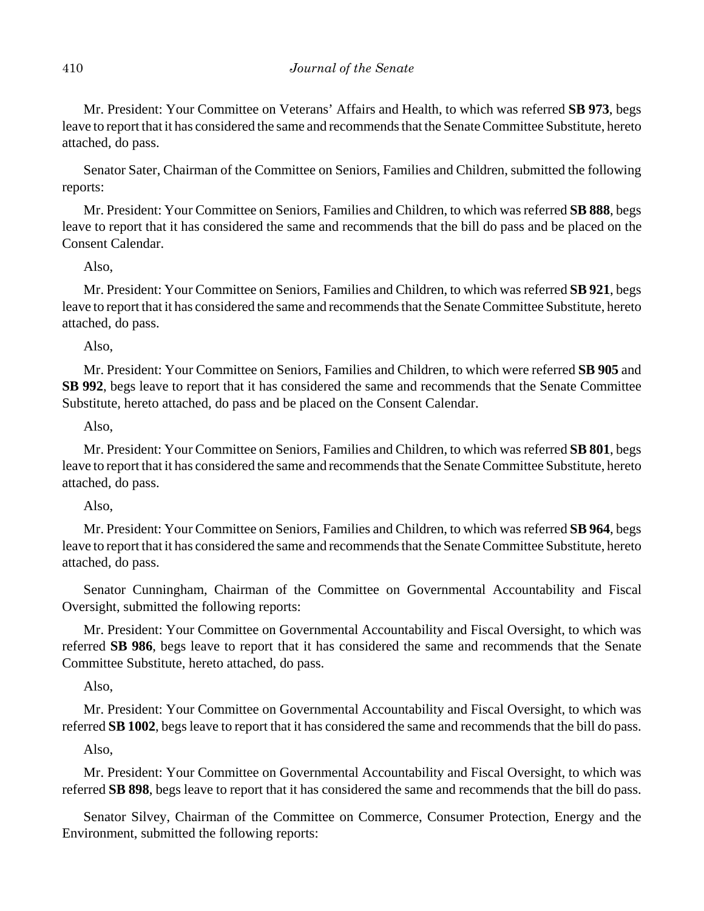Mr. President: Your Committee on Veterans' Affairs and Health, to which was referred **SB 973**, begs leave to report that it has considered the same and recommends that the Senate Committee Substitute, hereto attached, do pass.

Senator Sater, Chairman of the Committee on Seniors, Families and Children, submitted the following reports:

Mr. President: Your Committee on Seniors, Families and Children, to which was referred **SB 888**, begs leave to report that it has considered the same and recommends that the bill do pass and be placed on the Consent Calendar.

## Also,

Mr. President: Your Committee on Seniors, Families and Children, to which was referred **SB 921**, begs leave to report that it has considered the same and recommends that the Senate Committee Substitute, hereto attached, do pass.

Also,

Mr. President: Your Committee on Seniors, Families and Children, to which were referred **SB 905** and **SB 992**, begs leave to report that it has considered the same and recommends that the Senate Committee Substitute, hereto attached, do pass and be placed on the Consent Calendar.

Also,

Mr. President: Your Committee on Seniors, Families and Children, to which was referred **SB 801**, begs leave to report that it has considered the same and recommends that the Senate Committee Substitute, hereto attached, do pass.

Also,

Mr. President: Your Committee on Seniors, Families and Children, to which was referred **SB 964**, begs leave to report that it has considered the same and recommends that the Senate Committee Substitute, hereto attached, do pass.

Senator Cunningham, Chairman of the Committee on Governmental Accountability and Fiscal Oversight, submitted the following reports:

Mr. President: Your Committee on Governmental Accountability and Fiscal Oversight, to which was referred **SB 986**, begs leave to report that it has considered the same and recommends that the Senate Committee Substitute, hereto attached, do pass.

Also,

Mr. President: Your Committee on Governmental Accountability and Fiscal Oversight, to which was referred **SB 1002**, begs leave to report that it has considered the same and recommends that the bill do pass.

Also,

Mr. President: Your Committee on Governmental Accountability and Fiscal Oversight, to which was referred **SB 898**, begs leave to report that it has considered the same and recommends that the bill do pass.

Senator Silvey, Chairman of the Committee on Commerce, Consumer Protection, Energy and the Environment, submitted the following reports: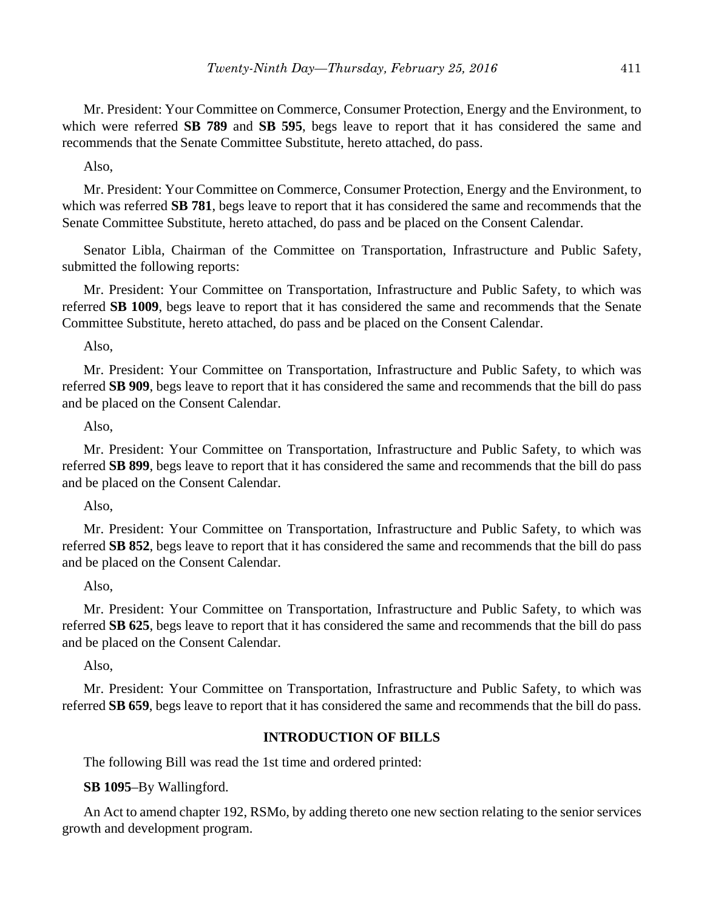Mr. President: Your Committee on Commerce, Consumer Protection, Energy and the Environment, to which were referred **SB 789** and **SB 595**, begs leave to report that it has considered the same and recommends that the Senate Committee Substitute, hereto attached, do pass.

Also,

Mr. President: Your Committee on Commerce, Consumer Protection, Energy and the Environment, to which was referred **SB 781**, begs leave to report that it has considered the same and recommends that the Senate Committee Substitute, hereto attached, do pass and be placed on the Consent Calendar.

Senator Libla, Chairman of the Committee on Transportation, Infrastructure and Public Safety, submitted the following reports:

Mr. President: Your Committee on Transportation, Infrastructure and Public Safety, to which was referred **SB 1009**, begs leave to report that it has considered the same and recommends that the Senate Committee Substitute, hereto attached, do pass and be placed on the Consent Calendar.

Also,

Mr. President: Your Committee on Transportation, Infrastructure and Public Safety, to which was referred **SB 909**, begs leave to report that it has considered the same and recommends that the bill do pass and be placed on the Consent Calendar.

Also,

Mr. President: Your Committee on Transportation, Infrastructure and Public Safety, to which was referred **SB 899**, begs leave to report that it has considered the same and recommends that the bill do pass and be placed on the Consent Calendar.

Also,

Mr. President: Your Committee on Transportation, Infrastructure and Public Safety, to which was referred **SB 852**, begs leave to report that it has considered the same and recommends that the bill do pass and be placed on the Consent Calendar.

#### Also,

Mr. President: Your Committee on Transportation, Infrastructure and Public Safety, to which was referred **SB 625**, begs leave to report that it has considered the same and recommends that the bill do pass and be placed on the Consent Calendar.

Also,

Mr. President: Your Committee on Transportation, Infrastructure and Public Safety, to which was referred **SB 659**, begs leave to report that it has considered the same and recommends that the bill do pass.

#### **INTRODUCTION OF BILLS**

The following Bill was read the 1st time and ordered printed:

**SB 1095**–By Wallingford.

An Act to amend chapter 192, RSMo, by adding thereto one new section relating to the senior services growth and development program.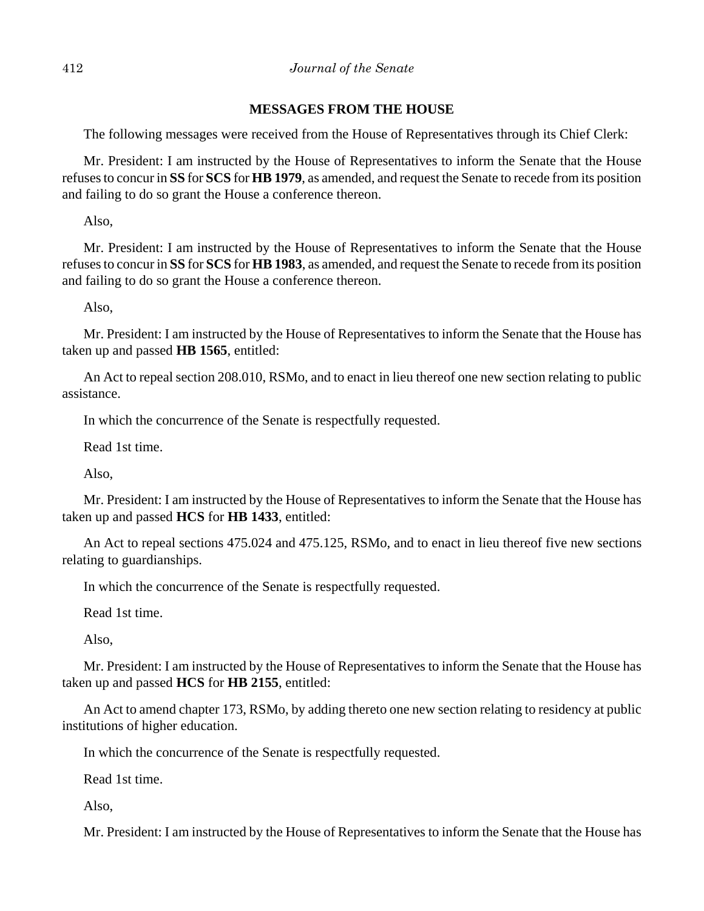# **MESSAGES FROM THE HOUSE**

The following messages were received from the House of Representatives through its Chief Clerk:

Mr. President: I am instructed by the House of Representatives to inform the Senate that the House refuses to concur in **SS** for **SCS** for **HB 1979**, as amended, and request the Senate to recede from its position and failing to do so grant the House a conference thereon.

Also,

Mr. President: I am instructed by the House of Representatives to inform the Senate that the House refuses to concur in **SS** for **SCS** for **HB 1983**, as amended, and request the Senate to recede from its position and failing to do so grant the House a conference thereon.

Also,

Mr. President: I am instructed by the House of Representatives to inform the Senate that the House has taken up and passed **HB 1565**, entitled:

An Act to repeal section 208.010, RSMo, and to enact in lieu thereof one new section relating to public assistance.

In which the concurrence of the Senate is respectfully requested.

Read 1st time.

Also,

Mr. President: I am instructed by the House of Representatives to inform the Senate that the House has taken up and passed **HCS** for **HB 1433**, entitled:

An Act to repeal sections 475.024 and 475.125, RSMo, and to enact in lieu thereof five new sections relating to guardianships.

In which the concurrence of the Senate is respectfully requested.

Read 1st time.

Also,

Mr. President: I am instructed by the House of Representatives to inform the Senate that the House has taken up and passed **HCS** for **HB 2155**, entitled:

An Act to amend chapter 173, RSMo, by adding thereto one new section relating to residency at public institutions of higher education.

In which the concurrence of the Senate is respectfully requested.

Read 1st time.

Also,

Mr. President: I am instructed by the House of Representatives to inform the Senate that the House has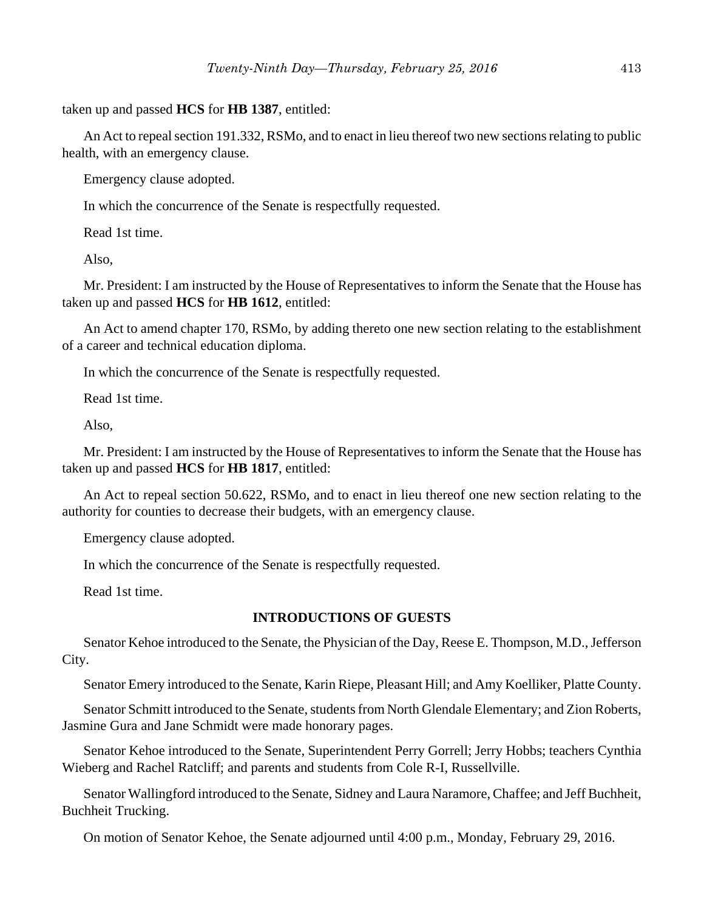taken up and passed **HCS** for **HB 1387**, entitled:

An Act to repeal section 191.332, RSMo, and to enact in lieu thereof two new sections relating to public health, with an emergency clause.

Emergency clause adopted.

In which the concurrence of the Senate is respectfully requested.

Read 1st time.

Also,

Mr. President: I am instructed by the House of Representatives to inform the Senate that the House has taken up and passed **HCS** for **HB 1612**, entitled:

An Act to amend chapter 170, RSMo, by adding thereto one new section relating to the establishment of a career and technical education diploma.

In which the concurrence of the Senate is respectfully requested.

Read 1st time.

Also,

Mr. President: I am instructed by the House of Representatives to inform the Senate that the House has taken up and passed **HCS** for **HB 1817**, entitled:

An Act to repeal section 50.622, RSMo, and to enact in lieu thereof one new section relating to the authority for counties to decrease their budgets, with an emergency clause.

Emergency clause adopted.

In which the concurrence of the Senate is respectfully requested.

Read 1st time.

#### **INTRODUCTIONS OF GUESTS**

Senator Kehoe introduced to the Senate, the Physician of the Day, Reese E. Thompson, M.D., Jefferson City.

Senator Emery introduced to the Senate, Karin Riepe, Pleasant Hill; and Amy Koelliker, Platte County.

Senator Schmitt introduced to the Senate, students from North Glendale Elementary; and Zion Roberts, Jasmine Gura and Jane Schmidt were made honorary pages.

Senator Kehoe introduced to the Senate, Superintendent Perry Gorrell; Jerry Hobbs; teachers Cynthia Wieberg and Rachel Ratcliff; and parents and students from Cole R-I, Russellville.

Senator Wallingford introduced to the Senate, Sidney and Laura Naramore, Chaffee; and Jeff Buchheit, Buchheit Trucking.

On motion of Senator Kehoe, the Senate adjourned until 4:00 p.m., Monday, February 29, 2016.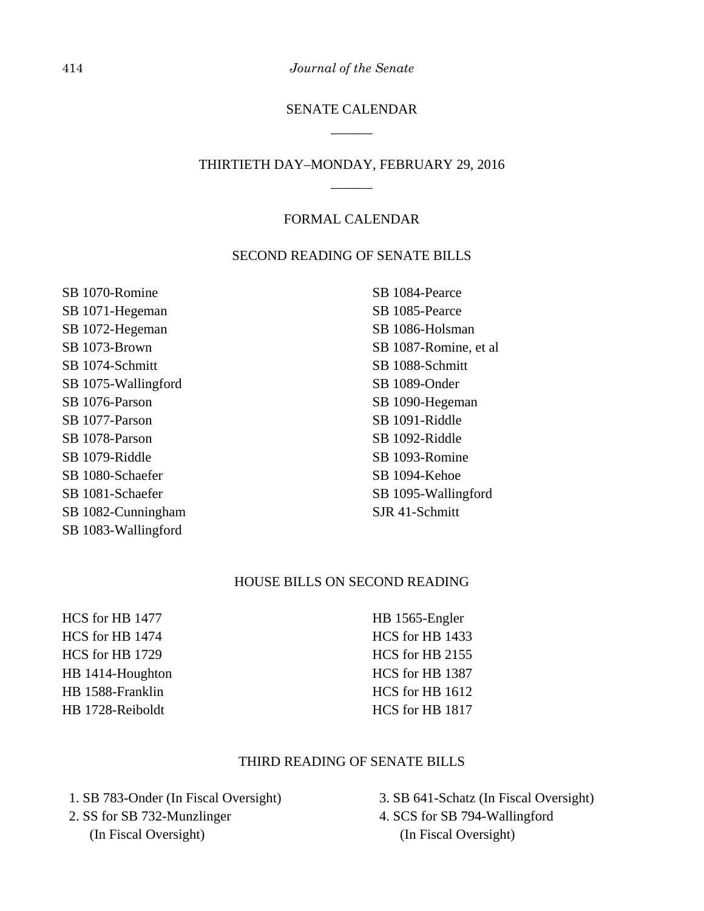414 *Journal of the Senate*

# SENATE CALENDAR \_\_\_\_\_\_

# THIRTIETH DAY–MONDAY, FEBRUARY 29, 2016 \_\_\_\_\_\_

#### FORMAL CALENDAR

#### SECOND READING OF SENATE BILLS

SB 1070-Romine SB 1071-Hegeman SB 1072-Hegeman SB 1073-Brown SB 1074-Schmitt SB 1075-Wallingford SB 1076-Parson SB 1077-Parson SB 1078-Parson SB 1079-Riddle SB 1080-Schaefer SB 1081-Schaefer SB 1082-Cunningham SB 1083-Wallingford

SB 1084-Pearce SB 1085-Pearce SB 1086-Holsman SB 1087-Romine, et al SB 1088-Schmitt SB 1089-Onder SB 1090-Hegeman SB 1091-Riddle SB 1092-Riddle SB 1093-Romine SB 1094-Kehoe SB 1095-Wallingford SJR 41-Schmitt

## HOUSE BILLS ON SECOND READING

HCS for HB 1477 HCS for HB 1474 HCS for HB 1729 HB 1414-Houghton HB 1588-Franklin HB 1728-Reiboldt

HB 1565-Engler HCS for HB 1433 HCS for HB 2155 HCS for HB 1387 HCS for HB 1612 HCS for HB 1817

# THIRD READING OF SENATE BILLS

 1. SB 783-Onder (In Fiscal Oversight) 2. SS for SB 732-Munzlinger (In Fiscal Oversight)

 3. SB 641-Schatz (In Fiscal Oversight) 4. SCS for SB 794-Wallingford (In Fiscal Oversight)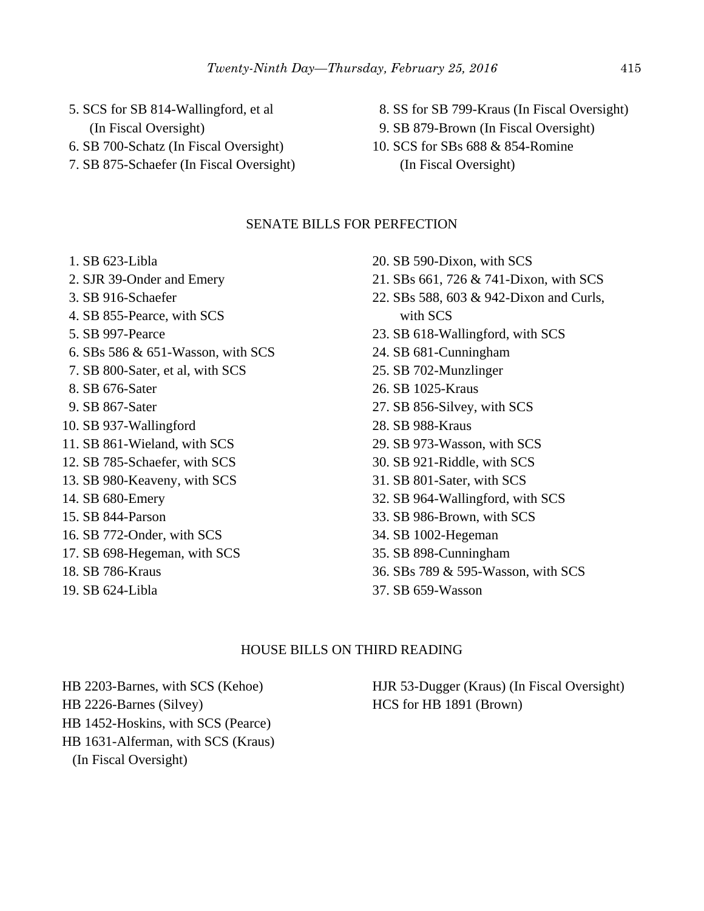- 5. SCS for SB 814-Wallingford, et al
	- (In Fiscal Oversight)
- 6. SB 700-Schatz (In Fiscal Oversight)
- 7. SB 875-Schaefer (In Fiscal Oversight)
- 8. SS for SB 799-Kraus (In Fiscal Oversight)
- 9. SB 879-Brown (In Fiscal Oversight)
- 10. SCS for SBs 688 & 854-Romine (In Fiscal Oversight)

# SENATE BILLS FOR PERFECTION

- 1. SB 623-Libla
- 2. SJR 39-Onder and Emery
- 3. SB 916-Schaefer
- 4. SB 855-Pearce, with SCS
- 5. SB 997-Pearce
- 6. SBs 586 & 651-Wasson, with SCS
- 7. SB 800-Sater, et al, with SCS
- 8. SB 676-Sater
- 9. SB 867-Sater
- 10. SB 937-Wallingford
- 11. SB 861-Wieland, with SCS
- 12. SB 785-Schaefer, with SCS
- 13. SB 980-Keaveny, with SCS
- 14. SB 680-Emery
- 15. SB 844-Parson
- 16. SB 772-Onder, with SCS
- 17. SB 698-Hegeman, with SCS
- 18. SB 786-Kraus
- 19. SB 624-Libla
- 20. SB 590-Dixon, with SCS
- 21. SBs 661, 726 & 741-Dixon, with SCS
- 22. SBs 588, 603 & 942-Dixon and Curls, with SCS
- 23. SB 618-Wallingford, with SCS
- 24. SB 681-Cunningham
- 25. SB 702-Munzlinger
- 26. SB 1025-Kraus
- 27. SB 856-Silvey, with SCS
- 28. SB 988-Kraus
- 29. SB 973-Wasson, with SCS
- 30. SB 921-Riddle, with SCS
- 31. SB 801-Sater, with SCS
- 32. SB 964-Wallingford, with SCS
- 33. SB 986-Brown, with SCS
- 34. SB 1002-Hegeman
- 35. SB 898-Cunningham
- 36. SBs 789 & 595-Wasson, with SCS
- 37. SB 659-Wasson

#### HOUSE BILLS ON THIRD READING

- HB 2203-Barnes, with SCS (Kehoe)
- HB 2226-Barnes (Silvey)
- HB 1452-Hoskins, with SCS (Pearce)
- HB 1631-Alferman, with SCS (Kraus)
	- (In Fiscal Oversight)

HJR 53-Dugger (Kraus) (In Fiscal Oversight) HCS for HB 1891 (Brown)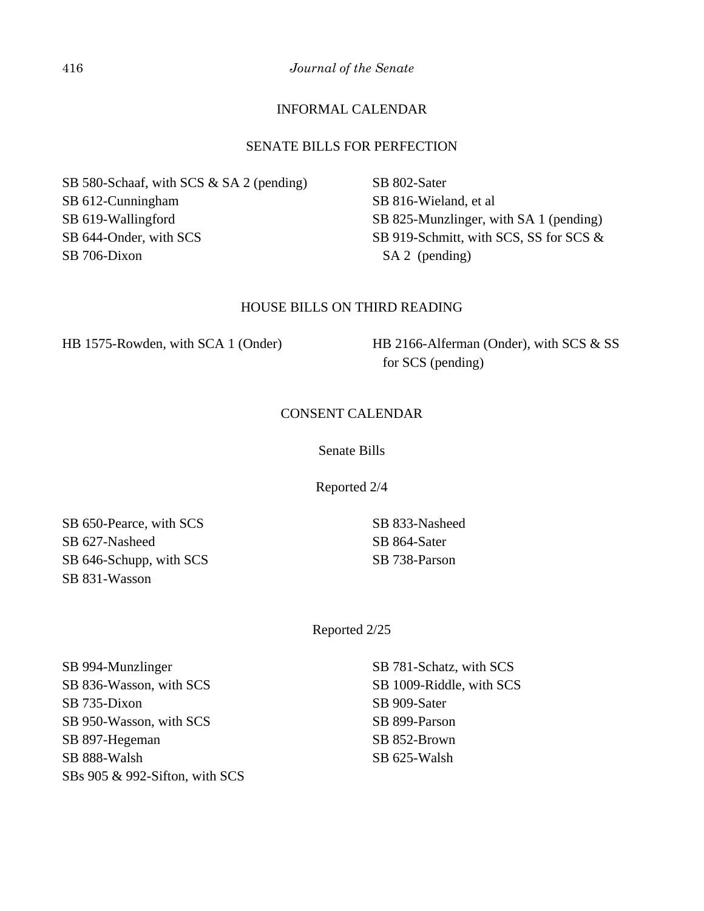416 *Journal of the Senate*

# INFORMAL CALENDAR

### SENATE BILLS FOR PERFECTION

SB 580-Schaaf, with SCS & SA 2 (pending) SB 612-Cunningham SB 619-Wallingford SB 644-Onder, with SCS SB 706-Dixon

SB 802-Sater SB 816-Wieland, et al SB 825-Munzlinger, with SA 1 (pending) SB 919-Schmitt, with SCS, SS for SCS & SA 2 (pending)

#### HOUSE BILLS ON THIRD READING

HB 1575-Rowden, with SCA 1 (Onder) HB 2166-Alferman (Onder), with SCS & SS

for SCS (pending)

## CONSENT CALENDAR

Senate Bills

Reported 2/4

SB 650-Pearce, with SCS SB 627-Nasheed SB 646-Schupp, with SCS SB 831-Wasson

SB 833-Nasheed SB 864-Sater SB 738-Parson

Reported 2/25

SB 994-Munzlinger SB 836-Wasson, with SCS SB 735-Dixon SB 950-Wasson, with SCS SB 897-Hegeman SB 888-Walsh SBs 905 & 992-Sifton, with SCS SB 781-Schatz, with SCS SB 1009-Riddle, with SCS SB 909-Sater SB 899-Parson SB 852-Brown SB 625-Walsh